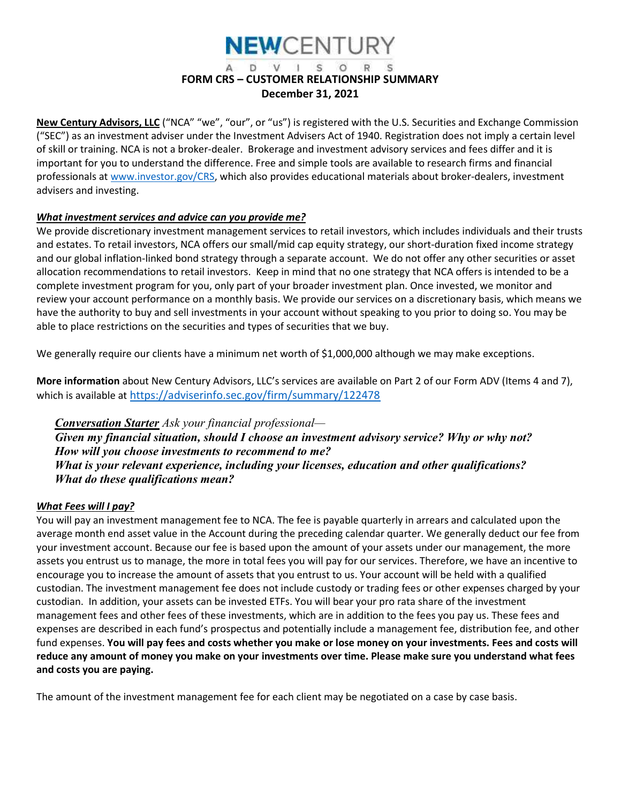

#### D V I S O R S FORM CRS – CUSTOMER RELATIONSHIP SUMMARY December 31, 2021

New Century Advisors, LLC ("NCA" "we", "our", or "us") is registered with the U.S. Securities and Exchange Commission ("SEC") as an investment adviser under the Investment Advisers Act of 1940. Registration does not imply a certain level of skill or training. NCA is not a broker-dealer. Brokerage and investment advisory services and fees differ and it is important for you to understand the difference. Free and simple tools are available to research firms and financial professionals at www.investor.gov/CRS, which also provides educational materials about broker-dealers, investment advisers and investing.

#### What investment services and advice can you provide me?

We provide discretionary investment management services to retail investors, which includes individuals and their trusts and estates. To retail investors, NCA offers our small/mid cap equity strategy, our short-duration fixed income strategy and our global inflation-linked bond strategy through a separate account. We do not offer any other securities or asset allocation recommendations to retail investors. Keep in mind that no one strategy that NCA offers is intended to be a complete investment program for you, only part of your broader investment plan. Once invested, we monitor and review your account performance on a monthly basis. We provide our services on a discretionary basis, which means we have the authority to buy and sell investments in your account without speaking to you prior to doing so. You may be able to place restrictions on the securities and types of securities that we buy.

We generally require our clients have a minimum net worth of \$1,000,000 although we may make exceptions.

More information about New Century Advisors, LLC's services are available on Part 2 of our Form ADV (Items 4 and 7), which is available at https://adviserinfo.sec.gov/firm/summary/122478

**Conversation Starter** Ask your financial professional— Given my financial situation, should I choose an investment advisory service? Why or why not? How will you choose investments to recommend to me? What is your relevant experience, including your licenses, education and other qualifications? What do these qualifications mean?

#### What Fees will I pay?

You will pay an investment management fee to NCA. The fee is payable quarterly in arrears and calculated upon the average month end asset value in the Account during the preceding calendar quarter. We generally deduct our fee from your investment account. Because our fee is based upon the amount of your assets under our management, the more assets you entrust us to manage, the more in total fees you will pay for our services. Therefore, we have an incentive to encourage you to increase the amount of assets that you entrust to us. Your account will be held with a qualified custodian. The investment management fee does not include custody or trading fees or other expenses charged by your custodian. In addition, your assets can be invested ETFs. You will bear your pro rata share of the investment management fees and other fees of these investments, which are in addition to the fees you pay us. These fees and expenses are described in each fund's prospectus and potentially include a management fee, distribution fee, and other fund expenses. You will pay fees and costs whether you make or lose money on your investments. Fees and costs will reduce any amount of money you make on your investments over time. Please make sure you understand what fees and costs you are paying.

The amount of the investment management fee for each client may be negotiated on a case by case basis.